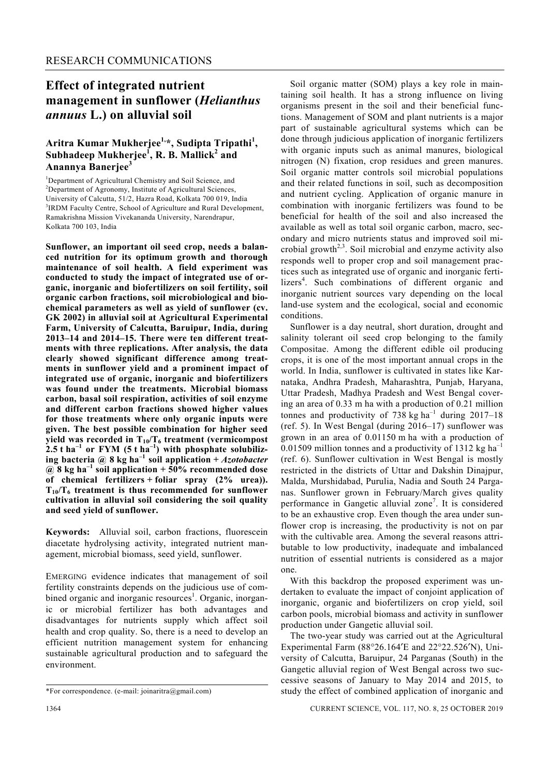## **Effect of integrated nutrient management in sunflower (***Helianthus annuus* **L.) on alluvial soil**

## **Aritra Kumar Mukherjee1,\*, Sudipta Tripathi1 , Subhadeep Mukherjee<sup>1</sup> , R. B. Mallick<sup>2</sup> and Anannya Banerjee<sup>3</sup>**

<sup>1</sup>Department of Agricultural Chemistry and Soil Science, and <sup>2</sup>Department of Agricultural Sciences <sup>2</sup>Department of Agronomy, Institute of Agricultural Sciences, University of Calcutta, 51/2, Hazra Road, Kolkata 700 019, India 3 <sup>3</sup>IRDM Faculty Centre, School of Agriculture and Rural Development, Ramakrishna Mission Vivekananda University, Narendrapur, Kolkata 700 103, India

**Sunflower, an important oil seed crop, needs a balanced nutrition for its optimum growth and thorough maintenance of soil health. A field experiment was conducted to study the impact of integrated use of organic, inorganic and biofertilizers on soil fertility, soil organic carbon fractions, soil microbiological and biochemical parameters as well as yield of sunflower (cv. GK 2002) in alluvial soil at Agricultural Experimental Farm, University of Calcutta, Baruipur, India, during 2013–14 and 2014–15. There were ten different treatments with three replications. After analysis, the data clearly showed significant difference among treatments in sunflower yield and a prominent impact of integrated use of organic, inorganic and biofertilizers was found under the treatments. Microbial biomass carbon, basal soil respiration, activities of soil enzyme and different carbon fractions showed higher values for those treatments where only organic inputs were given. The best possible combination for higher seed**  yield was recorded in  $T_{10}/T_6$  treatment (vermicompost 2.5 t ha<sup>-1</sup> or FYM (5 t ha<sup>-1</sup>) with phosphate solubiliz**ing bacteria @ 8 kg ha–1 soil application +** *Azotobacter* **@ 8 kg ha–1 soil application + 50% recommended dose of chemical fertilizers + foliar spray (2% urea)). T10/T6 treatment is thus recommended for sunflower cultivation in alluvial soil considering the soil quality and seed yield of sunflower.** 

**Keywords:** Alluvial soil, carbon fractions, fluorescein diacetate hydrolysing activity, integrated nutrient management, microbial biomass, seed yield, sunflower.

EMERGING evidence indicates that management of soil fertility constraints depends on the judicious use of combined organic and inorganic resources<sup>1</sup>. Organic, inorganic or microbial fertilizer has both advantages and disadvantages for nutrients supply which affect soil health and crop quality. So, there is a need to develop an efficient nutrition management system for enhancing sustainable agricultural production and to safeguard the environment.

 Soil organic matter (SOM) plays a key role in maintaining soil health. It has a strong influence on living organisms present in the soil and their beneficial functions. Management of SOM and plant nutrients is a major part of sustainable agricultural systems which can be done through judicious application of inorganic fertilizers with organic inputs such as animal manures, biological nitrogen (N) fixation, crop residues and green manures. Soil organic matter controls soil microbial populations and their related functions in soil, such as decomposition and nutrient cycling. Application of organic manure in combination with inorganic fertilizers was found to be beneficial for health of the soil and also increased the available as well as total soil organic carbon, macro, secondary and micro nutrients status and improved soil microbial growth<sup> $2,3$ </sup>. Soil microbial and enzyme activity also responds well to proper crop and soil management practices such as integrated use of organic and inorganic fertilizers<sup>4</sup>. Such combinations of different organic and inorganic nutrient sources vary depending on the local land-use system and the ecological, social and economic conditions.

 Sunflower is a day neutral, short duration, drought and salinity tolerant oil seed crop belonging to the family Compositae. Among the different edible oil producing crops, it is one of the most important annual crops in the world. In India, sunflower is cultivated in states like Karnataka, Andhra Pradesh, Maharashtra, Punjab, Haryana, Uttar Pradesh, Madhya Pradesh and West Bengal covering an area of 0.33 m ha with a production of 0.21 million tonnes and productivity of 738 kg ha<sup>-1</sup> during 2017–18 (ref. 5). In West Bengal (during 2016–17) sunflower was grown in an area of 0.01150 m ha with a production of 0.01509 million tonnes and a productivity of 1312 kg ha<sup>-1</sup> (ref. 6). Sunflower cultivation in West Bengal is mostly restricted in the districts of Uttar and Dakshin Dinajpur, Malda, Murshidabad, Purulia, Nadia and South 24 Parganas. Sunflower grown in February/March gives quality performance in Gangetic alluvial zone<sup>7</sup>. It is considered to be an exhaustive crop. Even though the area under sunflower crop is increasing, the productivity is not on par with the cultivable area. Among the several reasons attributable to low productivity, inadequate and imbalanced nutrition of essential nutrients is considered as a major one.

 With this backdrop the proposed experiment was undertaken to evaluate the impact of conjoint application of inorganic, organic and biofertilizers on crop yield, soil carbon pools, microbial biomass and activity in sunflower production under Gangetic alluvial soil.

 The two-year study was carried out at the Agricultural Experimental Farm (88°26.164′E and 22°22.526′N), University of Calcutta, Baruipur, 24 Parganas (South) in the Gangetic alluvial region of West Bengal across two successive seasons of January to May 2014 and 2015, to study the effect of combined application of inorganic and

<sup>\*</sup>For correspondence. (e-mail: joinaritra@gmail.com)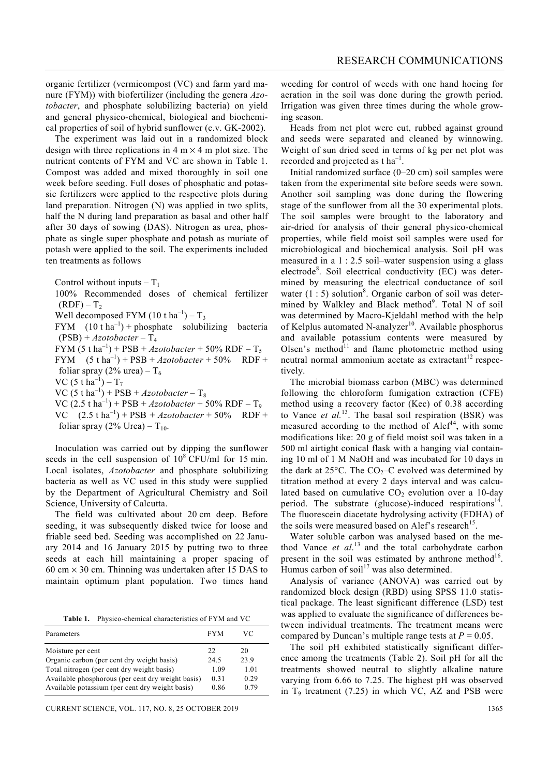organic fertilizer (vermicompost (VC) and farm yard manure (FYM)) with biofertilizer (including the genera *Azotobacter*, and phosphate solubilizing bacteria) on yield and general physico-chemical, biological and biochemical properties of soil of hybrid sunflower (c.v. GK-2002).

 The experiment was laid out in a randomized block design with three replications in  $4 \text{ m} \times 4 \text{ m}$  plot size. The nutrient contents of FYM and VC are shown in Table 1. Compost was added and mixed thoroughly in soil one week before seeding. Full doses of phosphatic and potassic fertilizers were applied to the respective plots during land preparation. Nitrogen (N) was applied in two splits, half the N during land preparation as basal and other half after 30 days of sowing (DAS). Nitrogen as urea, phosphate as single super phosphate and potash as muriate of potash were applied to the soil. The experiments included ten treatments as follows

Control without inputs  $-T_1$ 

 100% Recommended doses of chemical fertilizer  $(RDF) - T<sub>2</sub>$ Well decomposed FYM  $(10 \text{ t ha}^{-1}) - T_3$ FYM  $(10 \t{ h a<sup>-1</sup>})$  + phosphate solubilizing bacteria  $(PSB) + Azotobacter - T<sub>4</sub>$ FYM (5 t ha<sup>-1</sup>) + PSB + *Azotobacter* + 50% RDF – T<sub>5</sub> FYM  $(5 \t{t} \text{ ha}^{-1}) + PSB + Azotobacter + 50\%$  RDF + foliar spray (2% urea) –  $T_6$ VC  $(5 \t{t} \text{ ha}^{-1}) - T_7$ VC  $(5 \t{t} \text{ ha}^{-1})$  + PSB + *Azotobacter* – T<sub>8</sub> VC (2.5 t ha<sup>-1</sup>) + PSB + *Azotobacter* + 50% RDF – T<sub>9</sub> VC  $(2.5 \text{ tha}^{-1}) + \text{PSB} + Azotobacter + 50\%$  RDF + foliar spray (2% Urea) –  $T_{10}$ .

 Inoculation was carried out by dipping the sunflower seeds in the cell suspension of  $10^8$  CFU/ml for 15 min. Local isolates, *Azotobacter* and phosphate solubilizing bacteria as well as VC used in this study were supplied by the Department of Agricultural Chemistry and Soil Science, University of Calcutta.

 The field was cultivated about 20 cm deep. Before seeding, it was subsequently disked twice for loose and friable seed bed. Seeding was accomplished on 22 January 2014 and 16 January 2015 by putting two to three seeds at each hill maintaining a proper spacing of 60 cm  $\times$  30 cm. Thinning was undertaken after 15 DAS to maintain optimum plant population. Two times hand

**Table 1.** Physico-chemical characteristics of FYM and VC

| Parameters                                        | <b>FYM</b> | VС   |
|---------------------------------------------------|------------|------|
| Moisture per cent                                 | 22         | 20   |
| Organic carbon (per cent dry weight basis)        | 245        | 23.9 |
| Total nitrogen (per cent dry weight basis)        | 1.09       | 1.01 |
| Available phosphorous (per cent dry weight basis) | 0.31       | 0.29 |
| Available potassium (per cent dry weight basis)   | 0.86       | 0.79 |

CURRENT SCIENCE, VOL. 117, NO. 8, 25 OCTOBER 2019 1365

weeding for control of weeds with one hand hoeing for aeration in the soil was done during the growth period. Irrigation was given three times during the whole growing season.

 Heads from net plot were cut, rubbed against ground and seeds were separated and cleaned by winnowing. Weight of sun dried seed in terms of kg per net plot was recorded and projected as  $t \, \text{ha}^{-1}$ .

 Initial randomized surface (0–20 cm) soil samples were taken from the experimental site before seeds were sown. Another soil sampling was done during the flowering stage of the sunflower from all the 30 experimental plots. The soil samples were brought to the laboratory and air-dried for analysis of their general physico-chemical properties, while field moist soil samples were used for microbiological and biochemical analysis. Soil pH was measured in a 1 : 2.5 soil–water suspension using a glass electrode<sup>8</sup>. Soil electrical conductivity (EC) was determined by measuring the electrical conductance of soil water  $(1:5)$  solution<sup>8</sup>. Organic carbon of soil was determined by Walkley and Black method<sup>9</sup>. Total N of soil was determined by Macro-Kjeldahl method with the help of Kelplus automated N-analyzer $10$ . Available phosphorus and available potassium contents were measured by Olsen's method<sup>11</sup> and flame photometric method using neutral normal ammonium acetate as extractant $12$  respectively.

 The microbial biomass carbon (MBC) was determined following the chloroform fumigation extraction (CFE) method using a recovery factor (Kec) of 0.38 according to Vance *et al.*<sup>13</sup>. The basal soil respiration (BSR) was measured according to the method of  $A \leq 14$ , with some modifications like: 20 g of field moist soil was taken in a 500 ml airtight conical flask with a hanging vial containing 10 ml of 1 M NaOH and was incubated for 10 days in the dark at  $25^{\circ}$ C. The CO<sub>2</sub>–C evolved was determined by titration method at every 2 days interval and was calculated based on cumulative  $CO<sub>2</sub>$  evolution over a 10-day period. The substrate (glucose)-induced respirations<sup>14</sup>. The fluorescein diacetate hydrolysing activity (FDHA) of the soils were measured based on Alef's research<sup>15</sup>.

 Water soluble carbon was analysed based on the method Vance *et al*. 13 and the total carbohydrate carbon present in the soil was estimated by anthrone method $16$ . Humus carbon of soil $17$  was also determined.

 Analysis of variance (ANOVA) was carried out by randomized block design (RBD) using SPSS 11.0 statistical package. The least significant difference (LSD) test was applied to evaluate the significance of differences between individual treatments. The treatment means were compared by Duncan's multiple range tests at  $P = 0.05$ .

 The soil pH exhibited statistically significant difference among the treatments (Table 2). Soil pH for all the treatments showed neutral to slightly alkaline nature varying from 6.66 to 7.25. The highest pH was observed in  $T<sub>9</sub>$  treatment (7.25) in which VC, AZ and PSB were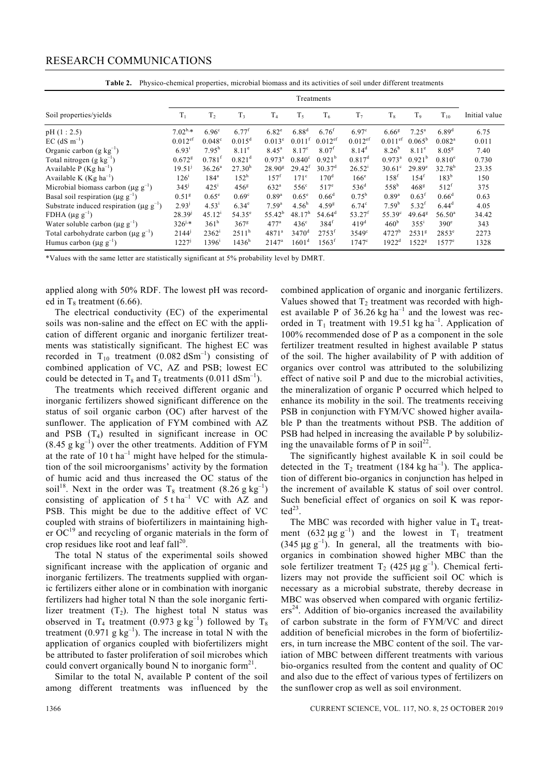#### RESEARCH COMMUNICATIONS

|                                                           | Treatments            |                      |                      |                      |                      |                       |                       |                       |                    |                      |               |
|-----------------------------------------------------------|-----------------------|----------------------|----------------------|----------------------|----------------------|-----------------------|-----------------------|-----------------------|--------------------|----------------------|---------------|
| Soil properties/yields                                    | $T_1$                 | T <sub>2</sub>       | T <sub>3</sub>       | T <sub>4</sub>       | $T_5$                | $T_6$                 | T <sub>7</sub>        | $T_{8}$               | T <sub>o</sub>     | $T_{10}$             | Initial value |
| pH(1:2.5)                                                 | $7.02^{b,*}$          | 6.96 <sup>c</sup>    | $6.77^{f}$           | $6.82^e$             | $6.88^{d}$           | $6.76^{f}$            | 6.97 <sup>c</sup>     | $6.66^{8}$            | $7.25^{\rm a}$     | $6.89^{d}$           | 6.75          |
| $EC$ (dS m <sup>-1</sup> )                                | $0.012$ <sup>ef</sup> | 0.048 <sup>c</sup>   | $0.015^d$            | $0.013^e$            | $0.011$ <sup>f</sup> | $0.012$ <sup>ef</sup> | $0.012$ <sup>ef</sup> | $0.011$ <sup>ef</sup> | $0.065^{\rm b}$    | $0.082$ <sup>a</sup> | 0.011         |
| Organic carbon (g $kg^{-1}$ )                             | $6.93^{i}$            | $7.95^h$             | 8.11 <sup>e</sup>    | $8.45^{\circ}$       | 8.17 <sup>c</sup>    | 8.07 <sup>f</sup>     | $8.14^{d}$            | $8.26^{b}$            | 8.11 <sup>e</sup>  | 8.05 <sup>g</sup>    | 7.40          |
| Total nitrogen $(g \text{ kg}^{-1})$                      | $0.672$ <sup>g</sup>  | $0.781$ <sup>f</sup> | $0.821$ <sup>d</sup> | $0.973$ <sup>a</sup> | 0.840 <sup>c</sup>   | 0.921 <sup>b</sup>    | $0.817^d$             | $0.973^a$             | 0.921 <sup>b</sup> | $0.810^e$            | 0.730         |
| Available P ( $Kg$ ha <sup>-1</sup> )                     | $19.51^{j}$           | 36.26 <sup>a</sup>   | 27.30 <sup>h</sup>   | 28.90 <sup>g</sup>   | 29.42 <sup>f</sup>   | 30.37 <sup>d</sup>    | $26.52^{i}$           | $30.61^{\circ}$       | $29.89^{\circ}$    | $32.78^{b}$          | 23.35         |
| Available K ( $Kg$ ha <sup>-1</sup> )                     | $126^1$               | $184^a$              | $152^h$              | $157^{t}$            | 171 <sup>c</sup>     | 170 <sup>d</sup>      | $166^\circ$           | $158^t$               | $154^t$            | $183^{b}$            | 150           |
| Microbial biomass carbon ( $\mu$ g g <sup>-1</sup> )      | 345'                  | $425^{\rm i}$        | 456 <sup>g</sup>     | 632 <sup>a</sup>     | $556^\circ$          | $517^e$               | 536 <sup>d</sup>      | 558 <sup>b</sup>      | 468 <sup>g</sup>   | $512^f$              | 375           |
| Basal soil respiration ( $\mu$ g g <sup>-1</sup> )        | 0.51 <sup>g</sup>     | $0.65^{\circ}$       | 0.69 <sup>c</sup>    | $0.89^{a}$           | $0.65^{\circ}$       | $0.66^d$              | $0.75^{\rm b}$        | $0.89^{a}$            | 0.63 <sup>f</sup>  | $0.66^d$             | 0.63          |
| Substrate induced respiration ( $\mu$ g g <sup>-1</sup> ) | 2.93 <sup>j</sup>     | 4.53 <sup>1</sup>    | $6.34^\mathrm{e}$    | $7.59^{a}$           | $4.56^h$             | $4.59^{8}$            | $6.74^\circ$          | $7.59^b$              | $5.32^t$           | $6.44^{\rm d}$       | 4.05          |
| FDHA $(\mu g g^{-1})$                                     | $28.39^{j}$           | $45.12^{i}$          | $54.35^{\circ}$      | $55.42^{b}$          | 48.17 <sup>h</sup>   | $54.64^{\rm d}$       | $53.27^t$             | $55.39^{\circ}$       | $49.64^8$          | $56.50^{\circ}$      | 34.42         |
| Water soluble carbon ( $\mu$ g g <sup>-1</sup> )          | $326^{j,*}$           | 361 <sup>h</sup>     | $367^8$              | $477^a$              | $436^\circ$          | $384^{\rm f}$         | 419 <sup>d</sup>      | 460 <sup>b</sup>      | $355^1$            | $390^\circ$          | 343           |
| Total carbohydrate carbon ( $\mu$ g g <sup>-1</sup> )     | 2144'                 | $2362^1$             | $2511^h$             | $4871^a$             | $3470^{\rm d}$       | $2753^t$              | $3549^\circ$          | $4727^b$              | $2531^{8}$         | $2853^e$             | 2273          |
| Humus carbon ( $\mu$ g g <sup>-1</sup> )                  | $1227^{j}$            | $1396^{\rm i}$       | 1436 <sup>h</sup>    | $2147^a$             | $1601^{\rm d}$       | $1563^{\rm f}$        | $1747^{\circ}$        | $1922^{\rm d}$        | 1522 <sup>g</sup>  | $1577^e$             | 1328          |

**Table 2.** Physico-chemical properties, microbial biomass and its activities of soil under different treatments

\*Values with the same letter are statistically significant at 5% probability level by DMRT.

applied along with 50% RDF. The lowest pH was recorded in  $T_8$  treatment (6.66).

 The electrical conductivity (EC) of the experimental soils was non-saline and the effect on EC with the application of different organic and inorganic fertilizer treatments was statistically significant. The highest EC was recorded in  $T_{10}$  treatment (0.082 dSm<sup>-1</sup>) consisting of combined application of VC, AZ and PSB; lowest EC could be detected in  $T_8$  and  $T_5$  treatments (0.011 dSm<sup>-1</sup>).

 The treatments which received different organic and inorganic fertilizers showed significant difference on the status of soil organic carbon (OC) after harvest of the sunflower. The application of FYM combined with AZ and PSB  $(T_4)$  resulted in significant increase in OC  $(8.45 \text{ g kg}^{-1})$  over the other treatments. Addition of FYM at the rate of 10 t  $ha^{-1}$  might have helped for the stimulation of the soil microorganisms' activity by the formation of humic acid and thus increased the OC status of the soil<sup>18</sup>. Next in the order was T<sub>8</sub> treatment (8.26 g kg<sup>-1</sup>) consisting of application of  $5$  t ha<sup>-1</sup> VC with AZ and PSB. This might be due to the additive effect of VC coupled with strains of biofertilizers in maintaining higher  $OC<sup>19</sup>$  and recycling of organic materials in the form of crop residues like root and leaf  $fall<sup>20</sup>$ .

 The total N status of the experimental soils showed significant increase with the application of organic and inorganic fertilizers. The treatments supplied with organic fertilizers either alone or in combination with inorganic fertilizers had higher total N than the sole inorganic fertilizer treatment  $(T_2)$ . The highest total N status was observed in T<sub>4</sub> treatment (0.973 g kg<sup>-1</sup>) followed by T<sub>8</sub> treatment  $(0.971 \text{ g kg}^{-1})$ . The increase in total N with the application of organics coupled with biofertilizers might be attributed to faster proliferation of soil microbes which could convert organically bound N to inorganic form $2<sup>1</sup>$ .

 Similar to the total N, available P content of the soil among different treatments was influenced by the combined application of organic and inorganic fertilizers. Values showed that  $T_2$  treatment was recorded with highest available P of  $36.26$  kg ha<sup>-1</sup> and the lowest was recorded in  $T_1$  treatment with 19.51 kg ha<sup>-1</sup>. Application of 100% recommended dose of P as a component in the sole fertilizer treatment resulted in highest available P status of the soil. The higher availability of P with addition of organics over control was attributed to the solubilizing effect of native soil P and due to the microbial activities, the mineralization of organic P occurred which helped to enhance its mobility in the soil. The treatments receiving PSB in conjunction with FYM/VC showed higher available P than the treatments without PSB. The addition of PSB had helped in increasing the available P by solubilizing the unavailable forms of P in soil<sup>22</sup>.

 The significantly highest available K in soil could be detected in the  $T_2$  treatment (184 kg ha<sup>-1</sup>). The application of different bio-organics in conjunction has helped in the increment of available K status of soil over control. Such beneficial effect of organics on soil K was repor $ted^{23}$ .

The MBC was recorded with higher value in  $T_4$  treatment  $(632 \mu g g^{-1})$  and the lowest in T<sub>1</sub> treatment  $(345 \mu g g^{-1})$ . In general, all the treatments with bioorganics in combination showed higher MBC than the sole fertilizer treatment  $T_2$  (425  $\mu$ g g<sup>-1</sup>). Chemical fertilizers may not provide the sufficient soil OC which is necessary as a microbial substrate, thereby decrease in MBC was observed when compared with organic fertiliz $ers<sup>24</sup>$ . Addition of bio-organics increased the availability of carbon substrate in the form of FYM/VC and direct addition of beneficial microbes in the form of biofertilizers, in turn increase the MBC content of the soil. The variation of MBC between different treatments with various bio-organics resulted from the content and quality of OC and also due to the effect of various types of fertilizers on the sunflower crop as well as soil environment.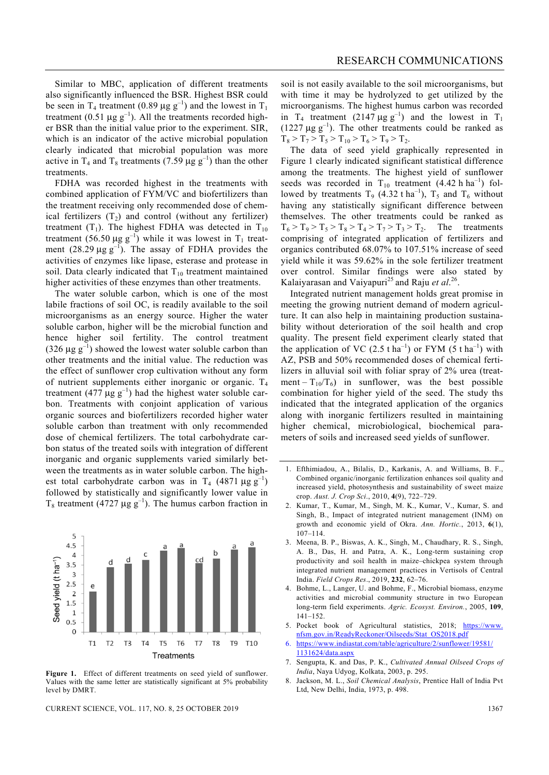Similar to MBC, application of different treatments also significantly influenced the BSR. Highest BSR could be seen in T<sub>4</sub> treatment (0.89  $\mu$ g g<sup>-1</sup>) and the lowest in T<sub>1</sub> treatment (0.51  $\mu$ g g<sup>-1</sup>). All the treatments recorded higher BSR than the initial value prior to the experiment. SIR, which is an indicator of the active microbial population clearly indicated that microbial population was more active in  $T_4$  and  $T_8$  treatments (7.59  $\mu$ g g<sup>-1</sup>) than the other treatments.

 FDHA was recorded highest in the treatments with combined application of FYM/VC and biofertilizers than the treatment receiving only recommended dose of chemical fertilizers  $(T_2)$  and control (without any fertilizer) treatment  $(T_1)$ . The highest FDHA was detected in  $T_{10}$ treatment (56.50  $\mu$ g g<sup>-1</sup>) while it was lowest in T<sub>1</sub> treatment  $(28.29 \mu g g^{-1})$ . The assay of FDHA provides the activities of enzymes like lipase, esterase and protease in soil. Data clearly indicated that  $T_{10}$  treatment maintained higher activities of these enzymes than other treatments.

 The water soluble carbon, which is one of the most labile fractions of soil OC, is readily available to the soil microorganisms as an energy source. Higher the water soluble carbon, higher will be the microbial function and hence higher soil fertility. The control treatment (326  $\mu$ g g<sup>-1</sup>) showed the lowest water soluble carbon than other treatments and the initial value. The reduction was the effect of sunflower crop cultivation without any form of nutrient supplements either inorganic or organic.  $T_4$ treatment (477  $\mu$ g g<sup>-1</sup>) had the highest water soluble carbon. Treatments with conjoint application of various organic sources and biofertilizers recorded higher water soluble carbon than treatment with only recommended dose of chemical fertilizers. The total carbohydrate carbon status of the treated soils with integration of different inorganic and organic supplements varied similarly between the treatments as in water soluble carbon. The highest total carbohydrate carbon was in T<sub>4</sub> (4871  $\mu$ g g<sup>-1</sup>) followed by statistically and significantly lower value in T<sub>8</sub> treatment (4727 μg g<sup>-1</sup>). The humus carbon fraction in



**Figure 1.** Effect of different treatments on seed yield of sunflower. Values with the same letter are statistically significant at 5% probability level by DMRT.

CURRENT SCIENCE, VOL. 117, NO. 8, 25 OCTOBER 2019 1367

soil is not easily available to the soil microorganisms, but with time it may be hydrolyzed to get utilized by the microorganisms. The highest humus carbon was recorded in T<sub>4</sub> treatment (2147  $\mu$ g g<sup>-1</sup>) and the lowest in T<sub>1</sub> (1227  $\mu$ g g<sup>-1</sup>). The other treatments could be ranked as  $T_8 > T_7 > T_5 > T_{10} > T_6 > T_9 > T_2.$ 

 The data of seed yield graphically represented in Figure 1 clearly indicated significant statistical difference among the treatments. The highest yield of sunflower seeds was recorded in  $T_{10}$  treatment (4.42 h ha<sup>-1</sup>) followed by treatments  $T_9$  (4.32 t ha<sup>-1</sup>),  $T_5$  and  $T_6$  without having any statistically significant difference between themselves. The other treatments could be ranked as  $T_6 > T_9 > T_5 > T_8 > T_4 > T_7 > T_3 > T_2$ . The treatments comprising of integrated application of fertilizers and organics contributed 68.07% to 107.51% increase of seed yield while it was 59.62% in the sole fertilizer treatment over control. Similar findings were also stated by Kalaiyarasan and Vaiyapuri<sup>25</sup> and Raju *et al.*<sup>26</sup>.

 Integrated nutrient management holds great promise in meeting the growing nutrient demand of modern agriculture. It can also help in maintaining production sustainability without deterioration of the soil health and crop quality. The present field experiment clearly stated that the application of VC  $(2.5 \text{ t ha}^{-1})$  or FYM  $(5 \text{ t ha}^{-1})$  with AZ, PSB and 50% recommended doses of chemical fertilizers in alluvial soil with foliar spray of 2% urea (treatment –  $T_{10}/T_6$ ) in sunflower, was the best possible combination for higher yield of the seed. The study ths indicated that the integrated application of the organics along with inorganic fertilizers resulted in maintaining higher chemical, microbiological, biochemical parameters of soils and increased seed yields of sunflower.

- 1. Efthimiadou, A., Bilalis, D., Karkanis, A. and Williams, B. F., Combined organic/inorganic fertilization enhances soil quality and increased yield, photosynthesis and sustainability of sweet maize crop. *Aust. J. Crop Sci*., 2010, **4**(9), 722–729.
- 2. Kumar, T., Kumar, M., Singh, M. K., Kumar, V., Kumar, S. and Singh, B., Impact of integrated nutrient management (INM) on growth and economic yield of Okra. *Ann. Hortic.*, 2013, **6**(1), 107–114.
- 3. Meena, B. P., Biswas, A. K., Singh, M., Chaudhary, R. S., Singh, A. B., Das, H. and Patra, A. K., Long-term sustaining crop productivity and soil health in maize–chickpea system through integrated nutrient management practices in Vertisols of Central India. *Field Crops Res*., 2019, **232**, 62–76.
- 4. Bohme, L., Langer, U. and Bohme, F., Microbial biomass, enzyme activities and microbial community structure in two European long-term field experiments. *Agric. Ecosyst. Environ.*, 2005, **109**, 141–152.
- 5. Pocket book of Agricultural statistics, 2018; https://www. nfsm.gov.in/ReadyReckoner/Oilseeds/Stat\_OS2018.pdf
- 6. https://www.indiastat.com/table/agriculture/2/sunflower/19581/ 1131624/data.aspx
- 7. Sengupta, K. and Das, P. K., *Cultivated Annual Oilseed Crops of India*, Naya Udyog, Kolkata, 2003, p. 295.
- 8. Jackson, M. L., *Soil Chemical Analysis*, Prentice Hall of India Pvt Ltd, New Delhi, India, 1973, p. 498.